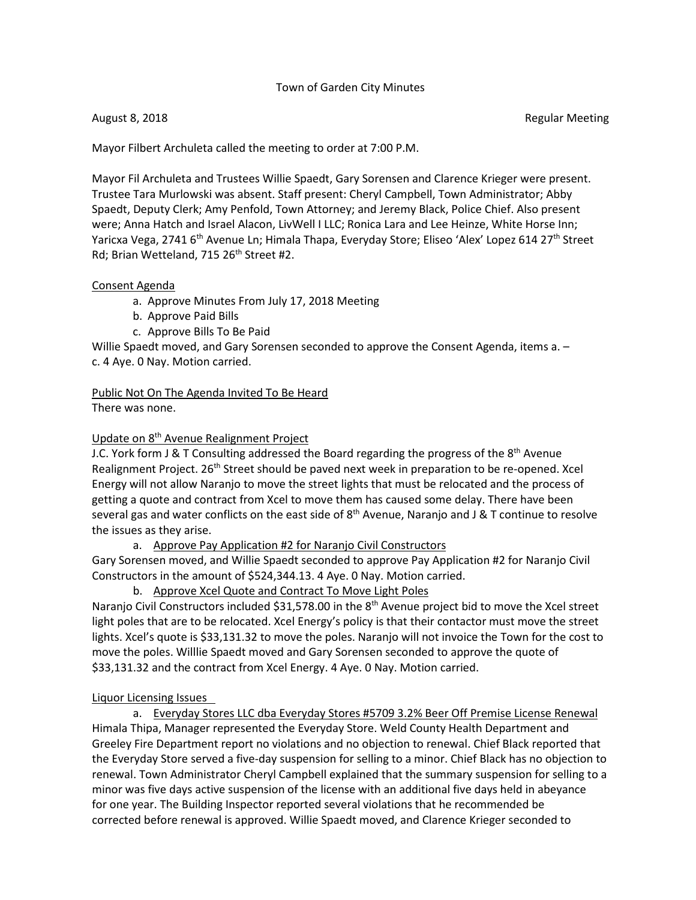#### Town of Garden City Minutes

Mayor Filbert Archuleta called the meeting to order at 7:00 P.M.

Mayor Fil Archuleta and Trustees Willie Spaedt, Gary Sorensen and Clarence Krieger were present. Trustee Tara Murlowski was absent. Staff present: Cheryl Campbell, Town Administrator; Abby Spaedt, Deputy Clerk; Amy Penfold, Town Attorney; and Jeremy Black, Police Chief. Also present were; Anna Hatch and Israel Alacon, LivWell I LLC; Ronica Lara and Lee Heinze, White Horse Inn; Yaricxa Vega, 2741 6<sup>th</sup> Avenue Ln; Himala Thapa, Everyday Store; Eliseo 'Alex' Lopez 614 27<sup>th</sup> Street Rd; Brian Wetteland, 715 26<sup>th</sup> Street #2.

#### Consent Agenda

- a. Approve Minutes From July 17, 2018 Meeting
- b. Approve Paid Bills
- c. Approve Bills To Be Paid

Willie Spaedt moved, and Gary Sorensen seconded to approve the Consent Agenda, items a. c. 4 Aye. 0 Nay. Motion carried.

Public Not On The Agenda Invited To Be Heard

There was none.

## Update on 8th Avenue Realignment Project

J.C. York form J & T Consulting addressed the Board regarding the progress of the  $8<sup>th</sup>$  Avenue Realignment Project. 26<sup>th</sup> Street should be paved next week in preparation to be re-opened. Xcel Energy will not allow Naranjo to move the street lights that must be relocated and the process of getting a quote and contract from Xcel to move them has caused some delay. There have been several gas and water conflicts on the east side of  $8<sup>th</sup>$  Avenue, Naranjo and J & T continue to resolve the issues as they arise.

a. Approve Pay Application #2 for Naranjo Civil Constructors

 Gary Sorensen moved, and Willie Spaedt seconded to approve Pay Application #2 for Naranjo Civil Constructors in the amount of \$524,344.13. 4 Aye. 0 Nay. Motion carried.

b. Approve Xcel Quote and Contract To Move Light Poles

Naranjo Civil Constructors included \$31,578.00 in the  $8<sup>th</sup>$  Avenue project bid to move the Xcel street light poles that are to be relocated. Xcel Energy's policy is that their contactor must move the street lights. Xcel's quote is \$33,131.32 to move the poles. Naranjo will not invoice the Town for the cost to move the poles. Willlie Spaedt moved and Gary Sorensen seconded to approve the quote of \$33,131.32 and the contract from Xcel Energy. 4 Aye. 0 Nay. Motion carried.

## Liquor Licensing Issues

a. Everyday Stores LLC dba Everyday Stores #5709 3.2% Beer Off Premise License Renewal Himala Thipa, Manager represented the Everyday Store. Weld County Health Department and Greeley Fire Department report no violations and no objection to renewal. Chief Black reported that the Everyday Store served a five-day suspension for selling to a minor. Chief Black has no objection to renewal. Town Administrator Cheryl Campbell explained that the summary suspension for selling to a minor was five days active suspension of the license with an additional five days held in abeyance for one year. The Building Inspector reported several violations that he recommended be corrected before renewal is approved. Willie Spaedt moved, and Clarence Krieger seconded to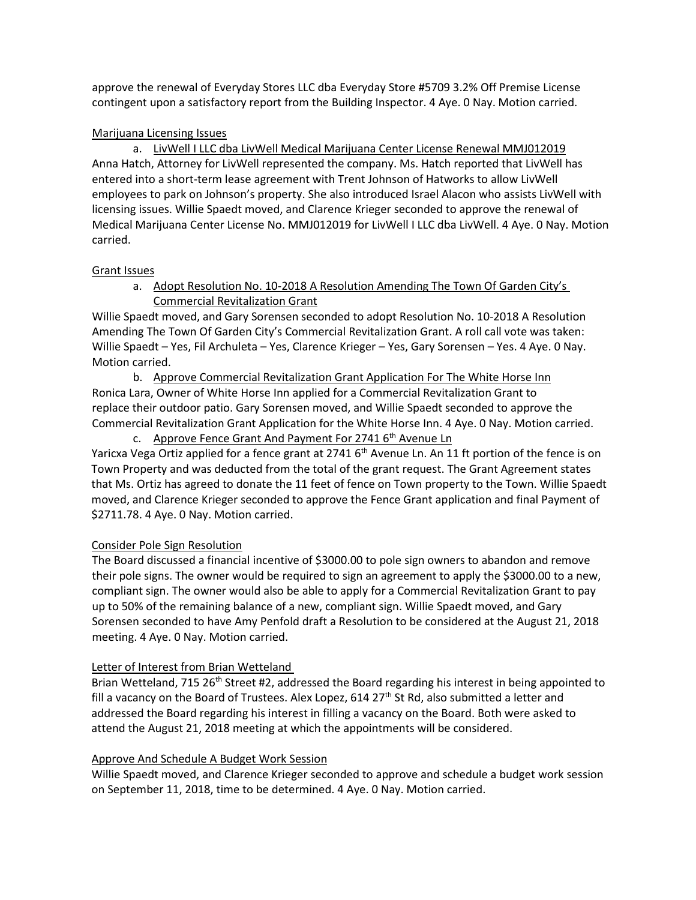approve the renewal of Everyday Stores LLC dba Everyday Store #5709 3.2% Off Premise License contingent upon a satisfactory report from the Building Inspector. 4 Aye. 0 Nay. Motion carried.

# Marijuana Licensing Issues

a. LivWell I LLC dba LivWell Medical Marijuana Center License Renewal MMJ012019 Anna Hatch, Attorney for LivWell represented the company. Ms. Hatch reported that LivWell has entered into a short-term lease agreement with Trent Johnson of Hatworks to allow LivWell employees to park on Johnson's property. She also introduced Israel Alacon who assists LivWell with licensing issues. Willie Spaedt moved, and Clarence Krieger seconded to approve the renewal of Medical Marijuana Center License No. MMJ012019 for LivWell I LLC dba LivWell. 4 Aye. 0 Nay. Motion carried.

# Grant Issues

a. Adopt Resolution No. 10-2018 A Resolution Amending The Town Of Garden City's Commercial Revitalization Grant

 Willie Spaedt moved, and Gary Sorensen seconded to adopt Resolution No. 10-2018 A Resolution Amending The Town Of Garden City's Commercial Revitalization Grant. A roll call vote was taken: Willie Spaedt – Yes, Fil Archuleta – Yes, Clarence Krieger – Yes, Gary Sorensen – Yes. 4 Aye. 0 Nay. Motion carried.

b. Approve Commercial Revitalization Grant Application For The White Horse Inn Ronica Lara, Owner of White Horse Inn applied for a Commercial Revitalization Grant to replace their outdoor patio. Gary Sorensen moved, and Willie Spaedt seconded to approve the Commercial Revitalization Grant Application for the White Horse Inn. 4 Aye. 0 Nay. Motion carried.

c. Approve Fence Grant And Payment For 2741 6<sup>th</sup> Avenue Ln Yaricxa Vega Ortiz applied for a fence grant at 2741 6<sup>th</sup> Avenue Ln. An 11 ft portion of the fence is on Town Property and was deducted from the total of the grant request. The Grant Agreement states that Ms. Ortiz has agreed to donate the 11 feet of fence on Town property to the Town. Willie Spaedt moved, and Clarence Krieger seconded to approve the Fence Grant application and final Payment of \$2711.78. 4 Aye. 0 Nay. Motion carried.

# Consider Pole Sign Resolution

 The Board discussed a financial incentive of \$3000.00 to pole sign owners to abandon and remove their pole signs. The owner would be required to sign an agreement to apply the \$3000.00 to a new, compliant sign. The owner would also be able to apply for a Commercial Revitalization Grant to pay up to 50% of the remaining balance of a new, compliant sign. Willie Spaedt moved, and Gary Sorensen seconded to have Amy Penfold draft a Resolution to be considered at the August 21, 2018 meeting. 4 Aye. 0 Nay. Motion carried.

# Letter of Interest from Brian Wetteland

Brian Wetteland, 715 26<sup>th</sup> Street #2, addressed the Board regarding his interest in being appointed to fill a vacancy on the Board of Trustees. Alex Lopez,  $614$  27<sup>th</sup> St Rd, also submitted a letter and addressed the Board regarding his interest in filling a vacancy on the Board. Both were asked to attend the August 21, 2018 meeting at which the appointments will be considered.

# Approve And Schedule A Budget Work Session

Willie Spaedt moved, and Clarence Krieger seconded to approve and schedule a budget work session on September 11, 2018, time to be determined. 4 Aye. 0 Nay. Motion carried.